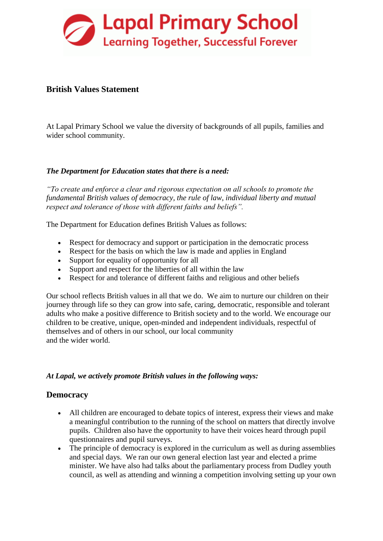

## **British Values Statement**

At Lapal Primary School we value the diversity of backgrounds of all pupils, families and wider school community.

### *The Department for Education states that there is a need:*

*"To create and enforce a clear and rigorous expectation on all schools to promote the fundamental British values of democracy, the rule of law, individual liberty and mutual respect and tolerance of those with different faiths and beliefs".*

The Department for Education defines British Values as follows:

- Respect for democracy and support or participation in the democratic process
- Respect for the basis on which the law is made and applies in England
- Support for equality of opportunity for all
- Support and respect for the liberties of all within the law
- Respect for and tolerance of different faiths and religious and other beliefs

Our school reflects British values in all that we do. We aim to nurture our children on their journey through life so they can grow into safe, caring, democratic, responsible and tolerant adults who make a positive difference to British society and to the world. We encourage our children to be creative, unique, open-minded and independent individuals, respectful of themselves and of others in our school, our local community and the wider world.

#### *At Lapal, we actively promote British values in the following ways:*

#### **Democracy**

- All children are encouraged to debate topics of interest, express their views and make a meaningful contribution to the running of the school on matters that directly involve pupils. Children also have the opportunity to have their voices heard through pupil questionnaires and pupil surveys.
- The principle of democracy is explored in the curriculum as well as during assemblies and special days. We ran our own general election last year and elected a prime minister. We have also had talks about the parliamentary process from Dudley youth council, as well as attending and winning a competition involving setting up your own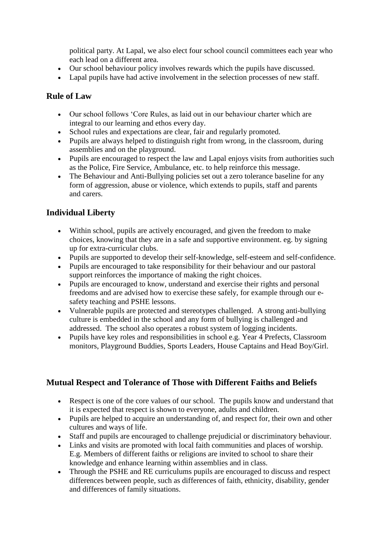political party. At Lapal, we also elect four school council committees each year who each lead on a different area.

- Our school behaviour policy involves rewards which the pupils have discussed.
- Lapal pupils have had active involvement in the selection processes of new staff.

### **Rule of Law**

- Our school follows 'Core Rules, as laid out in our behaviour charter which are integral to our learning and ethos every day.
- School rules and expectations are clear, fair and regularly promoted.
- Pupils are always helped to distinguish right from wrong, in the classroom, during assemblies and on the playground.
- Pupils are encouraged to respect the law and Lapal enjoys visits from authorities such as the Police, Fire Service, Ambulance, etc. to help reinforce this message.
- The Behaviour and Anti-Bullying policies set out a zero tolerance baseline for any form of aggression, abuse or violence, which extends to pupils, staff and parents and carers.

# **Individual Liberty**

- Within school, pupils are actively encouraged, and given the freedom to make choices, knowing that they are in a safe and supportive environment. eg. by signing up for extra-curricular clubs.
- Pupils are supported to develop their self-knowledge, self-esteem and self-confidence.
- Pupils are encouraged to take responsibility for their behaviour and our pastoral support reinforces the importance of making the right choices.
- Pupils are encouraged to know, understand and exercise their rights and personal freedoms and are advised how to exercise these safely, for example through our esafety teaching and PSHE lessons.
- Vulnerable pupils are protected and stereotypes challenged. A strong anti-bullying culture is embedded in the school and any form of bullying is challenged and addressed. The school also operates a robust system of logging incidents.
- Pupils have key roles and responsibilities in school e.g. Year 4 Prefects, Classroom monitors, Playground Buddies, Sports Leaders, House Captains and Head Boy/Girl.

## **Mutual Respect and Tolerance of Those with Different Faiths and Beliefs**

- Respect is one of the core values of our school. The pupils know and understand that it is expected that respect is shown to everyone, adults and children.
- Pupils are helped to acquire an understanding of, and respect for, their own and other cultures and ways of life.
- Staff and pupils are encouraged to challenge prejudicial or discriminatory behaviour.
- Links and visits are promoted with local faith communities and places of worship. E.g. Members of different faiths or religions are invited to school to share their knowledge and enhance learning within assemblies and in class.
- Through the PSHE and RE curriculums pupils are encouraged to discuss and respect differences between people, such as differences of faith, ethnicity, disability, gender and differences of family situations.